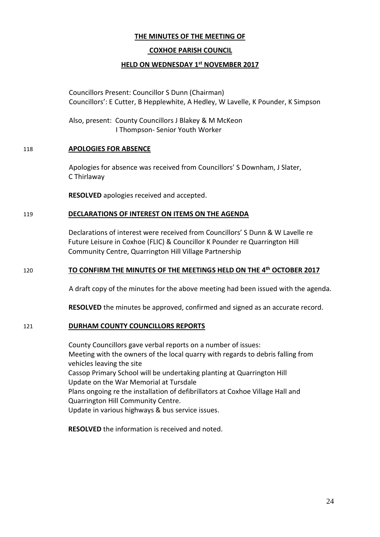## **THE MINUTES OF THE MEETING OF**

### **COXHOE PARISH COUNCIL**

### **HELD ON WEDNESDAY 1 st NOVEMBER 2017**

Councillors Present: Councillor S Dunn (Chairman) Councillors': E Cutter, B Hepplewhite, A Hedley, W Lavelle, K Pounder, K Simpson

Also, present: County Councillors J Blakey & M McKeon I Thompson- Senior Youth Worker

#### 118 **APOLOGIES FOR ABSENCE**

Apologies for absence was received from Councillors' S Downham, J Slater, C Thirlaway

**RESOLVED** apologies received and accepted.

#### 119 **DECLARATIONS OF INTEREST ON ITEMS ON THE AGENDA**

Declarations of interest were received from Councillors' S Dunn & W Lavelle re Future Leisure in Coxhoe (FLIC) & Councillor K Pounder re Quarrington Hill Community Centre, Quarrington Hill Village Partnership

### 120 **TO CONFIRM THE MINUTES OF THE MEETINGS HELD ON THE 4 th OCTOBER 2017**

A draft copy of the minutes for the above meeting had been issued with the agenda.

**RESOLVED** the minutes be approved, confirmed and signed as an accurate record.

#### 121 **DURHAM COUNTY COUNCILLORS REPORTS**

County Councillors gave verbal reports on a number of issues: Meeting with the owners of the local quarry with regards to debris falling from vehicles leaving the site Cassop Primary School will be undertaking planting at Quarrington Hill Update on the War Memorial at Tursdale Plans ongoing re the installation of defibrillators at Coxhoe Village Hall and Quarrington Hill Community Centre. Update in various highways & bus service issues.

**RESOLVED** the information is received and noted.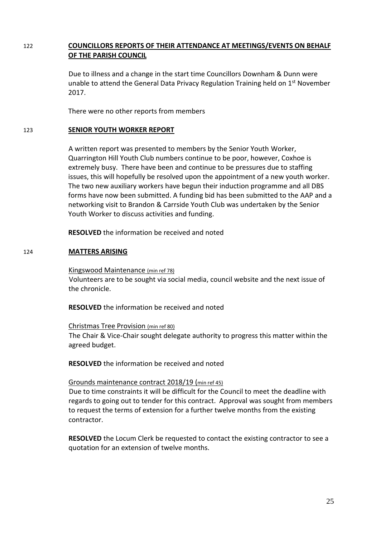## 122 **COUNCILLORS REPORTS OF THEIR ATTENDANCE AT MEETINGS/EVENTS ON BEHALF OF THE PARISH COUNCIL**

Due to illness and a change in the start time Councillors Downham & Dunn were unable to attend the General Data Privacy Regulation Training held on 1<sup>st</sup> November 2017.

There were no other reports from members

#### 123 **SENIOR YOUTH WORKER REPORT**

A written report was presented to members by the Senior Youth Worker, Quarrington Hill Youth Club numbers continue to be poor, however, Coxhoe is extremely busy. There have been and continue to be pressures due to staffing issues, this will hopefully be resolved upon the appointment of a new youth worker. The two new auxiliary workers have begun their induction programme and all DBS forms have now been submitted. A funding bid has been submitted to the AAP and a networking visit to Brandon & Carrside Youth Club was undertaken by the Senior Youth Worker to discuss activities and funding.

**RESOLVED** the information be received and noted

### 124 **MATTERS ARISING**

Kingswood Maintenance (min ref 78) Volunteers are to be sought via social media, council website and the next issue of the chronicle.

**RESOLVED** the information be received and noted

Christmas Tree Provision (min ref 80) The Chair & Vice-Chair sought delegate authority to progress this matter within the agreed budget.

**RESOLVED** the information be received and noted

### Grounds maintenance contract 2018/19 (min ref 45)

Due to time constraints it will be difficult for the Council to meet the deadline with regards to going out to tender for this contract. Approval was sought from members to request the terms of extension for a further twelve months from the existing contractor.

**RESOLVED** the Locum Clerk be requested to contact the existing contractor to see a quotation for an extension of twelve months.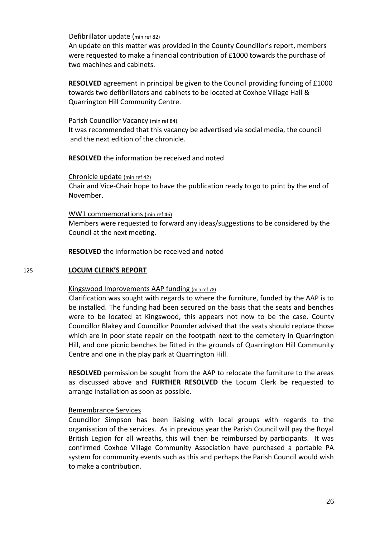### Defibrillator update (min ref 82)

An update on this matter was provided in the County Councillor's report, members were requested to make a financial contribution of £1000 towards the purchase of two machines and cabinets.

**RESOLVED** agreement in principal be given to the Council providing funding of £1000 towards two defibrillators and cabinets to be located at Coxhoe Village Hall & Quarrington Hill Community Centre.

### Parish Councillor Vacancy (min ref 84)

It was recommended that this vacancy be advertised via social media, the council and the next edition of the chronicle.

**RESOLVED** the information be received and noted

Chronicle update (min ref 42) Chair and Vice-Chair hope to have the publication ready to go to print by the end of November.

WW1 commemorations (min ref 46) Members were requested to forward any ideas/suggestions to be considered by the Council at the next meeting.

**RESOLVED** the information be received and noted

### 125 **LOCUM CLERK'S REPORT**

### Kingswood Improvements AAP funding (min ref 78)

Clarification was sought with regards to where the furniture, funded by the AAP is to be installed. The funding had been secured on the basis that the seats and benches were to be located at Kingswood, this appears not now to be the case. County Councillor Blakey and Councillor Pounder advised that the seats should replace those which are in poor state repair on the footpath next to the cemetery in Quarrington Hill, and one picnic benches be fitted in the grounds of Quarrington Hill Community Centre and one in the play park at Quarrington Hill.

**RESOLVED** permission be sought from the AAP to relocate the furniture to the areas as discussed above and **FURTHER RESOLVED** the Locum Clerk be requested to arrange installation as soon as possible.

### Remembrance Services

Councillor Simpson has been liaising with local groups with regards to the organisation of the services. As in previous year the Parish Council will pay the Royal British Legion for all wreaths, this will then be reimbursed by participants. It was confirmed Coxhoe Village Community Association have purchased a portable PA system for community events such as this and perhaps the Parish Council would wish to make a contribution.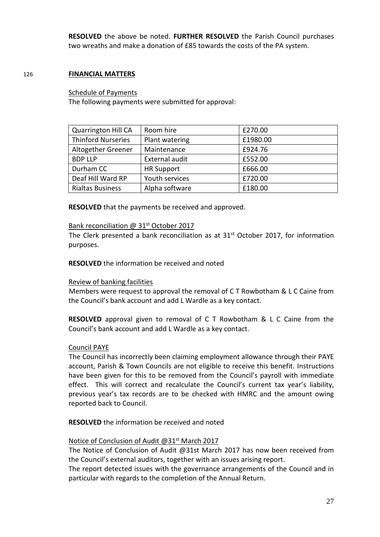**RESOLVED** the above be noted. **FURTHER RESOLVED** the Parish Council purchases two wreaths and make a donation of £85 towards the costs of the PA system.

### 126 **FINANCIAL MATTERS**

#### Schedule of Payments

The following payments were submitted for approval:

| <b>Quarrington Hill CA</b> | Room hire         | £270.00  |
|----------------------------|-------------------|----------|
| <b>Thinford Nurseries</b>  | Plant watering    | £1980.00 |
| Altogether Greener         | Maintenance       | £924.76  |
| <b>BDP LLP</b>             | External audit    | £552.00  |
| Durham CC                  | <b>HR Support</b> | £666.00  |
| Deaf Hill Ward RP          | Youth services    | £720.00  |
| <b>Rialtas Business</b>    | Alpha software    | £180.00  |

**RESOLVED** that the payments be received and approved.

#### Bank reconciliation @ 31<sup>st</sup> October 2017

The Clerk presented a bank reconciliation as at 31<sup>st</sup> October 2017, for information purposes.

**RESOLVED** the information be received and noted

### Review of banking facilities

Members were request to approval the removal of C T Rowbotham & L C Caine from the Council's bank account and add L Wardle as a key contact.

**RESOLVED** approval given to removal of C T Rowbotham & L C Caine from the Council's bank account and add L Wardle as a key contact.

#### Council PAYE

The Council has incorrectly been claiming employment allowance through their PAYE account, Parish & Town Councils are not eligible to receive this benefit. Instructions have been given for this to be removed from the Council's payroll with immediate effect. This will correct and recalculate the Council's current tax year's liability, previous year's tax records are to be checked with HMRC and the amount owing reported back to Council.

**RESOLVED** the information be received and noted

### Notice of Conclusion of Audit @31<sup>st</sup> March 2017

The Notice of Conclusion of Audit @31st March 2017 has now been received from the Council's external auditors, together with an issues arising report.

The report detected issues with the governance arrangements of the Council and in particular with regards to the completion of the Annual Return.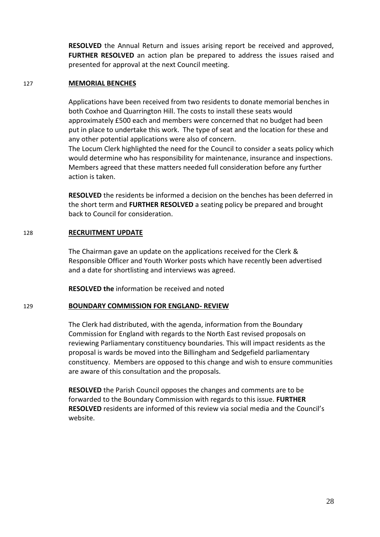**RESOLVED** the Annual Return and issues arising report be received and approved, **FURTHER RESOLVED** an action plan be prepared to address the issues raised and presented for approval at the next Council meeting.

#### 127 **MEMORIAL BENCHES**

Applications have been received from two residents to donate memorial benches in both Coxhoe and Quarrington Hill. The costs to install these seats would approximately £500 each and members were concerned that no budget had been put in place to undertake this work. The type of seat and the location for these and any other potential applications were also of concern.

The Locum Clerk highlighted the need for the Council to consider a seats policy which would determine who has responsibility for maintenance, insurance and inspections. Members agreed that these matters needed full consideration before any further action is taken.

**RESOLVED** the residents be informed a decision on the benches has been deferred in the short term and **FURTHER RESOLVED** a seating policy be prepared and brought back to Council for consideration.

### 128 **RECRUITMENT UPDATE**

The Chairman gave an update on the applications received for the Clerk & Responsible Officer and Youth Worker posts which have recently been advertised and a date for shortlisting and interviews was agreed.

**RESOLVED the** information be received and noted

### 129 **BOUNDARY COMMISSION FOR ENGLAND- REVIEW**

The Clerk had distributed, with the agenda, information from the Boundary Commission for England with regards to the North East revised proposals on reviewing Parliamentary constituency boundaries. This will impact residents as the proposal is wards be moved into the Billingham and Sedgefield parliamentary constituency. Members are opposed to this change and wish to ensure communities are aware of this consultation and the proposals.

**RESOLVED** the Parish Council opposes the changes and comments are to be forwarded to the Boundary Commission with regards to this issue. **FURTHER RESOLVED** residents are informed of this review via social media and the Council's website.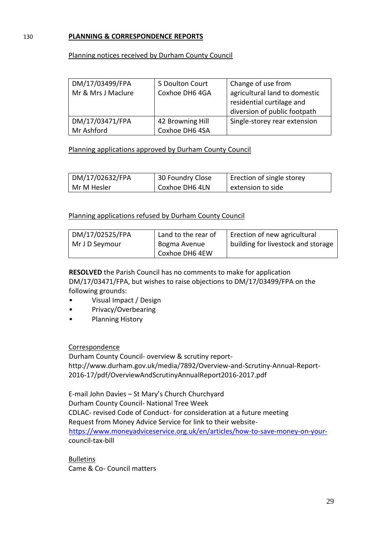## 130 **PLANNING & CORRESPONDENCE REPORTS**

### Planning notices received by Durham County Council

| DM/17/03499/FPA<br>Mr & Mrs J Maclure | 5 Doulton Court<br>Coxhoe DH6 4GA | Change of use from<br>agricultural land to domestic<br>residential curtilage and<br>diversion of public footpath |
|---------------------------------------|-----------------------------------|------------------------------------------------------------------------------------------------------------------|
| DM/17/03471/FPA                       | 42 Browning Hill                  | Single-storey rear extension                                                                                     |
| Mr Ashford                            | Coxhoe DH6 4SA                    |                                                                                                                  |

Planning applications approved by Durham County Council

| DM/17/02632/FPA | 30 Foundry Close | Erection of single storey |
|-----------------|------------------|---------------------------|
| Mr M Hesler     | Coxhoe DH6 4LN   | extension to side         |

### Planning applications refused by Durham County Council

| DM/17/02525/FPA | Land to the rear of | Erection of new agricultural       |
|-----------------|---------------------|------------------------------------|
| Mr J D Seymour  | Bogma Avenue        | building for livestock and storage |
|                 | Coxhoe DH6 4EW      |                                    |

**RESOLVED** the Parish Council has no comments to make for application DM/17/03471/FPA, but wishes to raise objections to DM/17/03499/FPA on the following grounds:

- Visual Impact / Design
- Privacy/Overbearing
- Planning History

Correspondence

Durham County Council- overview & scrutiny reporthttp://www.durham.gov.uk/media/7892/Overview-and-Scrutiny-Annual-Report-2016-17/pdf/OverviewAndScrutinyAnnualReport2016-2017.pdf

E-mail John Davies – St Mary's Church Churchyard Durham County Council- National Tree Week CDLAC- revised Code of Conduct- for consideration at a future meeting Request from Money Advice Service for link to their website[https://www.moneyadviceservice.org.uk/en/articles/how-to-save-money-on-your](https://www.moneyadviceservice.org.uk/en/articles/how-to-save-money-on-your-)council-tax-bill

Bulletins Came & Co- Council matters